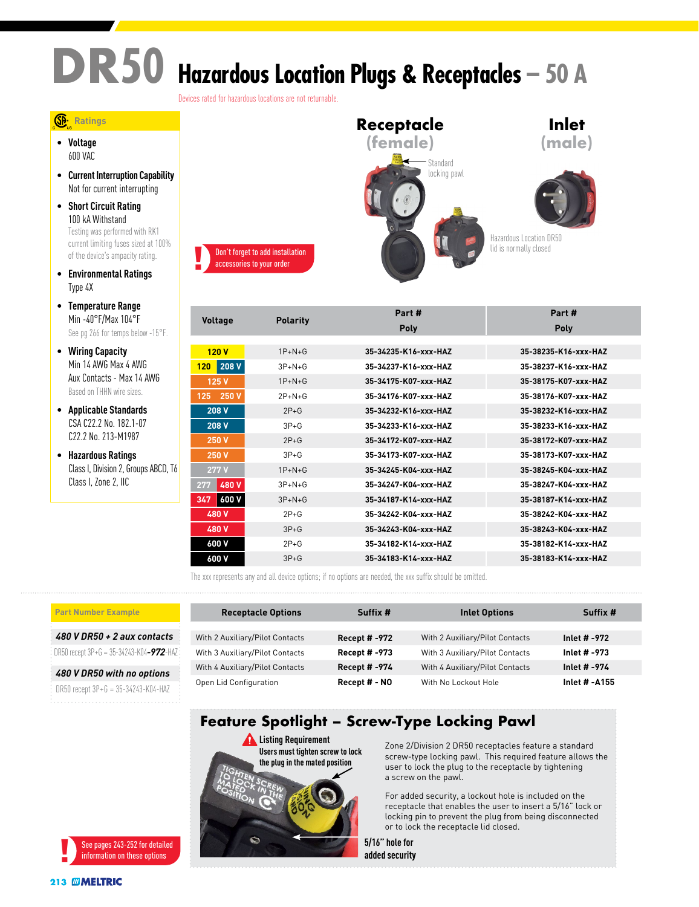# **DR50 Hazardous Location Plugs & Receptacles – 50 A**

Devices rated for hazardous locations are not returnable.

#### **Ratings**

• **Voltage** 600 VAC

- **Current Interruption Capability** Not for current interrupting
- **Short Circuit Rating** 100 kA Withstand Testing was performed with RK1 current limiting fuses sized at 100% of the device's ampacity rating.
- **Environmental Ratings** Type 4X
- **Temperature Range** Min -40°F/Max 104°F See pg 266 for temps below -15°F.
- **Wiring Capacity** Min 14 AWG Max 4 AWG Aux Contacts - Max 14 AWG Based on THHN wire sizes.
- **Applicable Standards** CSA C22.2 No. 182.1-07 C22.2 No. 213-M1987
- **Hazardous Ratings** Class I, Division 2, Groups ABCD, T6 Class I, Zone 2, IIC



|                | <b>Polarity</b> | Part #               | Part #               |
|----------------|-----------------|----------------------|----------------------|
| <b>Voltage</b> |                 | <b>Poly</b>          | Poly                 |
|                |                 |                      |                      |
| 120V           | $1P+N+G$        | 35-34235-K16-xxx-HAZ | 35-38235-K16-xxx-HAZ |
| 208 V<br>120   | $3P+N+G$        | 35-34237-K16-xxx-HAZ | 35-38237-K16-xxx-HAZ |
| 125 V          | $1P+N+G$        | 35-34175-K07-xxx-HAZ | 35-38175-K07-xxx-HAZ |
| 250 V<br>125   | $2P+N+G$        | 35-34176-K07-yyy-HA7 | 35-38176-K07-yyy-HA7 |
| 208 V          | $2P + G$        | 35-34232-K16-xxx-HAZ | 35-38232-K16-xxx-HAZ |
| 208 V          | $3P + G$        | 35-34233-K16-xxx-HAZ | 35-38233-K16-xxx-HAZ |
| <b>250 V</b>   | $2P + G$        | 35-34172-K07-xxx-HAZ | 35-38172-K07-xxx-HAZ |
| <b>250 V</b>   | $3P + G$        | 35-34173-K07-xxx-HAZ | 35-38173-K07-xxx-HAZ |
| 277 V          | $1P+N+G$        | 35-34245-K04-xxx-HAZ | 35-38245-K04-xxx-HAZ |
| 480 V<br>277   | $3P+N+G$        | 35-34247-K04-xxx-HAZ | 35-38247-K04-xxx-HAZ |
| 600 V<br>347   | $3P+N+G$        | 35-34187-K14-xxx-HAZ | 35-38187-K14-xxx-HAZ |
| 480 V          | $2P + G$        | 35-34242-K04-yyy-HA7 | 35-38242-K04-yyy-HA7 |
| 480 V          | $3P + G$        | 35-34243-K04-xxx-HAZ | 35-38243-K04-xxx-HAZ |
| 600 V          | $2P+G$          | 35-34182-K14-xxx-HAZ | 35-38182-K14-xxx-HAZ |
| 600 V          | $3P + G$        | 35-34183-K14-xxx-HAZ | 35-38183-K14-xxx-HAZ |

The xxx represents any and all device options; if no options are needed, the xxx suffix should be omitted.

#### **Part Number Example**

*480 V DR50 + 2 aux contacts*

DR50 recept 3P+G = 35-34243-K04*-972*-HAZ

*480 V DR50 with no options* DR50 recept 3P+G = 35-34243-K04-HAZ

| <b>Receptacle Options</b>       | Suffix #             | <b>Inlet Options</b>            | Suffix #      |
|---------------------------------|----------------------|---------------------------------|---------------|
|                                 |                      |                                 |               |
| With 2 Auxiliary/Pilot Contacts | <b>Recept # -972</b> | With 2 Auxiliary/Pilot Contacts | Inlet # -972  |
| With 3 Auxiliary/Pilot Contacts | <b>Recept # -973</b> | With 3 Auxiliary/Pilot Contacts | Inlet # -973  |
| With 4 Auxiliary/Pilot Contacts | Recept # -974        | With 4 Auxiliary/Pilot Contacts | Inlet # -974  |
| Open Lid Configuration          | Recept # - NO        | With No Lockout Hole            | Inlet # -A155 |

### **Feature Spotlight – Screw-Type Locking Pawl**



Zone 2/Division 2 DR50 receptacles feature a standard screw-type locking pawl. This required feature allows the user to lock the plug to the receptacle by tightening a screw on the pawl.

For added security, a lockout hole is included on the receptacle that enables the user to insert a 5/16" lock or locking pin to prevent the plug from being disconnected or to lock the receptacle lid closed.

**5/16" hole for added security**